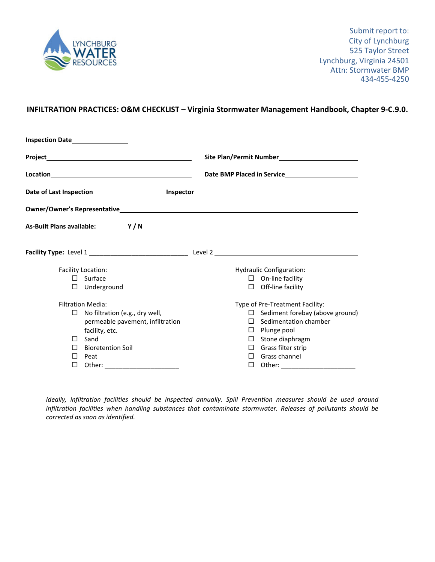

## **INFILTRATION PRACTICES: O&M CHECKLIST – Virginia Stormwater Management Handbook, Chapter 9‐C.9.0.**

| Inspection Date_________________         |                                                    |  |  |  |
|------------------------------------------|----------------------------------------------------|--|--|--|
|                                          | Site Plan/Permit Number<br>Site Plan/Permit Number |  |  |  |
|                                          |                                                    |  |  |  |
|                                          |                                                    |  |  |  |
|                                          |                                                    |  |  |  |
| As-Built Plans available: Y/N            |                                                    |  |  |  |
|                                          |                                                    |  |  |  |
| <b>Facility Location:</b>                | Hydraulic Configuration:                           |  |  |  |
| $\Box$ Surface                           | $\Box$ On-line facility                            |  |  |  |
| $\Box$ Underground                       | $\Box$ Off-line facility                           |  |  |  |
| <b>Filtration Media:</b>                 | Type of Pre-Treatment Facility:                    |  |  |  |
| No filtration (e.g., dry well,<br>$\Box$ | $\Box$ Sediment forebay (above ground)             |  |  |  |
| permeable pavement, infiltration         | Sedimentation chamber<br>П.                        |  |  |  |
| facility, etc.                           | $\Box$ Plunge pool                                 |  |  |  |
| Sand<br>$\mathsf{L}$                     | $\square$ Stone diaphragm                          |  |  |  |
| <b>Bioretention Soil</b>                 | $\Box$ Grass filter strip                          |  |  |  |
| П<br>Peat                                | Grass channel<br>П                                 |  |  |  |
| П<br>Other:                              | □<br>Other:                                        |  |  |  |

*Ideally, infiltration facilities should be inspected annually. Spill Prevention measures should be used around infiltration facilities when handling substances that contaminate stormwater. Releases of pollutants should be corrected as soon as identified.*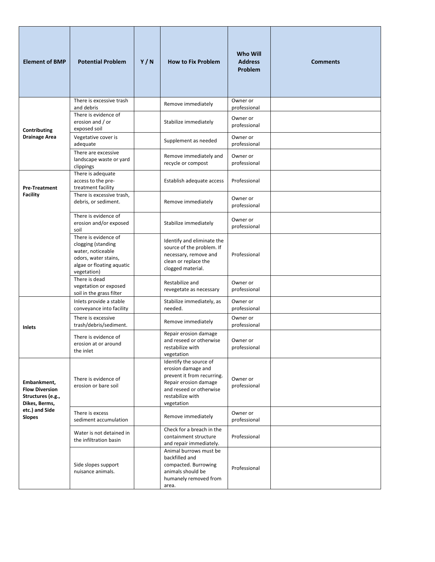| <b>Element of BMP</b>                                                                                         | <b>Potential Problem</b>                                                                                                            | Y/N | <b>How to Fix Problem</b>                                                                                                                                        | <b>Who Will</b><br><b>Address</b><br>Problem | <b>Comments</b> |
|---------------------------------------------------------------------------------------------------------------|-------------------------------------------------------------------------------------------------------------------------------------|-----|------------------------------------------------------------------------------------------------------------------------------------------------------------------|----------------------------------------------|-----------------|
|                                                                                                               | There is excessive trash<br>and debris                                                                                              |     | Remove immediately                                                                                                                                               | Owner or<br>professional                     |                 |
| Contributing                                                                                                  | There is evidence of<br>erosion and / or<br>exposed soil                                                                            |     | Stabilize immediately                                                                                                                                            | Owner or<br>professional                     |                 |
| <b>Drainage Area</b>                                                                                          | Vegetative cover is<br>adequate                                                                                                     |     | Supplement as needed                                                                                                                                             | Owner or<br>professional                     |                 |
|                                                                                                               | There are excessive<br>landscape waste or yard<br>clippings                                                                         |     | Remove immediately and<br>recycle or compost                                                                                                                     | Owner or<br>professional                     |                 |
| <b>Pre-Treatment</b>                                                                                          | There is adequate<br>access to the pre-<br>treatment facility                                                                       |     | Establish adequate access                                                                                                                                        | Professional                                 |                 |
| <b>Facility</b>                                                                                               | There is excessive trash,<br>debris, or sediment.                                                                                   |     | Remove immediately                                                                                                                                               | Owner or<br>professional                     |                 |
|                                                                                                               | There is evidence of<br>erosion and/or exposed<br>soil                                                                              |     | Stabilize immediately                                                                                                                                            | Owner or<br>professional                     |                 |
|                                                                                                               | There is evidence of<br>clogging (standing<br>water, noticeable<br>odors, water stains,<br>algae or floating aquatic<br>vegetation) |     | Identify and eliminate the<br>source of the problem. If<br>necessary, remove and<br>clean or replace the<br>clogged material.                                    | Professional                                 |                 |
|                                                                                                               | There is dead<br>vegetation or exposed<br>soil in the grass filter                                                                  |     | Restabilize and<br>revegetate as necessary                                                                                                                       | Owner or<br>professional                     |                 |
| Inlets                                                                                                        | Inlets provide a stable<br>conveyance into facility                                                                                 |     | Stabilize immediately, as<br>needed.                                                                                                                             | Owner or<br>professional                     |                 |
|                                                                                                               | There is excessive<br>trash/debris/sediment.                                                                                        |     | Remove immediately                                                                                                                                               | Owner or<br>professional                     |                 |
|                                                                                                               | There is evidence of<br>erosion at or around<br>the inlet                                                                           |     | Repair erosion damage<br>and reseed or otherwise<br>restabilize with<br>vegetation                                                                               | Owner or<br>professional                     |                 |
| Embankment,<br><b>Flow Diversion</b><br>Structures (e.g.,<br>Dikes, Berms,<br>etc.) and Side<br><b>Slopes</b> | There is evidence of<br>erosion or bare soil                                                                                        |     | Identify the source of<br>erosion damage and<br>prevent it from recurring.<br>Repair erosion damage<br>and reseed or otherwise<br>restabilize with<br>vegetation | Owner or<br>professional                     |                 |
|                                                                                                               | There is excess<br>sediment accumulation                                                                                            |     | Remove immediately                                                                                                                                               | Owner or<br>professional                     |                 |
|                                                                                                               | Water is not detained in<br>the infiltration basin                                                                                  |     | Check for a breach in the<br>containment structure<br>and repair immediately.                                                                                    | Professional                                 |                 |
|                                                                                                               | Side slopes support<br>nuisance animals.                                                                                            |     | Animal burrows must be<br>backfilled and<br>compacted. Burrowing<br>animals should be<br>humanely removed from<br>area.                                          | Professional                                 |                 |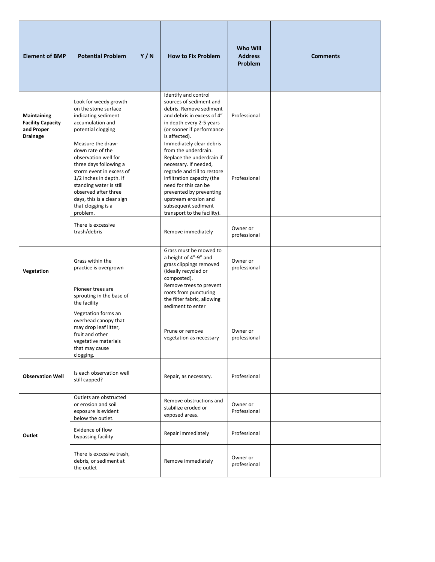| <b>Element of BMP</b>                                                    | <b>Potential Problem</b>                                                                                                                                                                                                                                          | Y/N | <b>How to Fix Problem</b>                                                                                                                                                                                                                                                                            | <b>Who Will</b><br><b>Address</b><br>Problem | <b>Comments</b> |
|--------------------------------------------------------------------------|-------------------------------------------------------------------------------------------------------------------------------------------------------------------------------------------------------------------------------------------------------------------|-----|------------------------------------------------------------------------------------------------------------------------------------------------------------------------------------------------------------------------------------------------------------------------------------------------------|----------------------------------------------|-----------------|
| Maintaining<br><b>Facility Capacity</b><br>and Proper<br><b>Drainage</b> | Look for weedy growth<br>on the stone surface<br>indicating sediment<br>accumulation and<br>potential clogging                                                                                                                                                    |     | Identify and control<br>sources of sediment and<br>debris. Remove sediment<br>and debris in excess of 4"<br>in depth every 2-5 years<br>(or sooner if performance<br>is affected).                                                                                                                   | Professional                                 |                 |
|                                                                          | Measure the draw-<br>down rate of the<br>observation well for<br>three days following a<br>storm event in excess of<br>1/2 inches in depth. If<br>standing water is still<br>observed after three<br>days, this is a clear sign<br>that clogging is a<br>problem. |     | Immediately clear debris<br>from the underdrain.<br>Replace the underdrain if<br>necessary. If needed,<br>regrade and till to restore<br>infiltration capacity (the<br>need for this can be<br>prevented by preventing<br>upstream erosion and<br>subsequent sediment<br>transport to the facility). | Professional                                 |                 |
|                                                                          | There is excessive<br>trash/debris                                                                                                                                                                                                                                |     | Remove immediately                                                                                                                                                                                                                                                                                   | Owner or<br>professional                     |                 |
| Vegetation                                                               | Grass within the<br>practice is overgrown                                                                                                                                                                                                                         |     | Grass must be mowed to<br>a height of 4"-9" and<br>grass clippings removed<br>(ideally recycled or<br>composted).                                                                                                                                                                                    | Owner or<br>professional                     |                 |
|                                                                          | Pioneer trees are<br>sprouting in the base of<br>the facility                                                                                                                                                                                                     |     | Remove trees to prevent<br>roots from puncturing<br>the filter fabric, allowing<br>sediment to enter                                                                                                                                                                                                 |                                              |                 |
|                                                                          | Vegetation forms an<br>overhead canopy that<br>may drop leaf litter,<br>fruit and other<br>vegetative materials<br>that may cause<br>clogging.                                                                                                                    |     | Prune or remove<br>vegetation as necessary                                                                                                                                                                                                                                                           | Owner or<br>professional                     |                 |
| <b>Observation Well</b>                                                  | Is each observation well<br>still capped?                                                                                                                                                                                                                         |     | Repair, as necessary.                                                                                                                                                                                                                                                                                | Professional                                 |                 |
|                                                                          | Outlets are obstructed<br>or erosion and soil<br>exposure is evident<br>below the outlet.                                                                                                                                                                         |     | Remove obstructions and<br>stabilize eroded or<br>exposed areas.                                                                                                                                                                                                                                     | Owner or<br>Professional                     |                 |
| Outlet                                                                   | Evidence of flow<br>bypassing facility                                                                                                                                                                                                                            |     | Repair immediately                                                                                                                                                                                                                                                                                   | Professional                                 |                 |
|                                                                          | There is excessive trash,<br>debris, or sediment at<br>the outlet                                                                                                                                                                                                 |     | Remove immediately                                                                                                                                                                                                                                                                                   | Owner or<br>professional                     |                 |